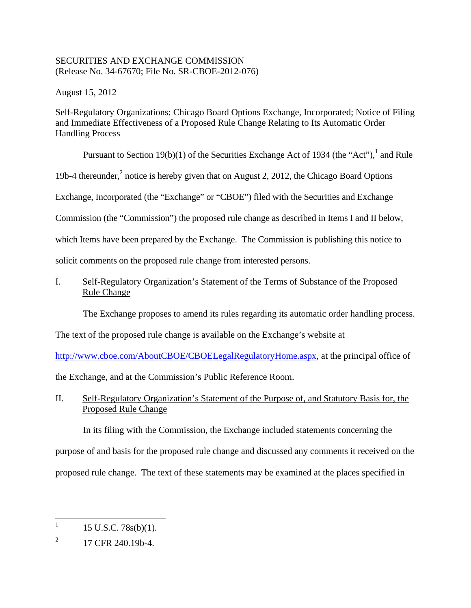## SECURITIES AND EXCHANGE COMMISSION (Release No. 34-67670; File No. SR-CBOE-2012-076)

August 15, 2012

Self-Regulatory Organizations; Chicago Board Options Exchange, Incorporated; Notice of Filing and Immediate Effectiveness of a Proposed Rule Change Relating to Its Automatic Order Handling Process

Pursuant to Section 19(b)(1) of the Securities Exchange Act of 1934 (the "Act"),  $^1$  and Rule

19b-4 thereunder,<sup>2</sup> notice is hereby given that on August 2, 2012, the Chicago Board Options

Exchange, Incorporated (the "Exchange" or "CBOE") filed with the Securities and Exchange

Commission (the "Commission") the proposed rule change as described in Items I and II below,

which Items have been prepared by the Exchange. The Commission is publishing this notice to

solicit comments on the proposed rule change from interested persons.

I. Self-Regulatory Organization's Statement of the Terms of Substance of the Proposed Rule Change

The Exchange proposes to amend its rules regarding its automatic order handling process.

The text of the proposed rule change is available on the Exchange's website at

http://www.cboe.com/AboutCBOE/CBOELegalRegulatoryHome.aspx, at the principal office of

the Exchange, and at the Commission's Public Reference Room.

# II. Self-Regulatory Organization's Statement of the Purpose of, and Statutory Basis for, the Proposed Rule Change

In its filing with the Commission, the Exchange included statements concerning the purpose of and basis for the proposed rule change and discussed any comments it received on the proposed rule change. The text of these statements may be examined at the places specified in

1

<sup>15</sup> U.S.C. 78s(b)(1).

 $\overline{2}$ 2 17 CFR 240.19b-4.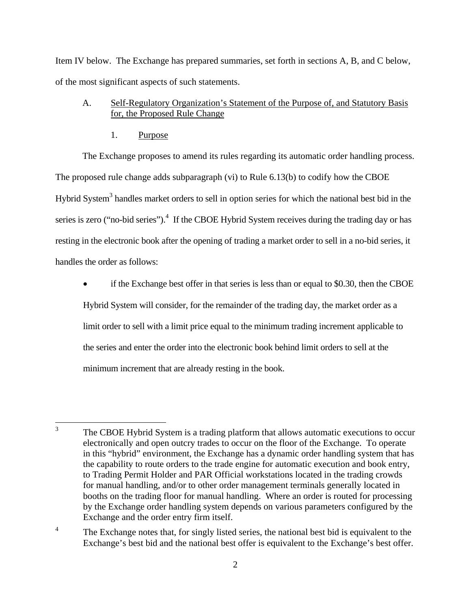Item IV below. The Exchange has prepared summaries, set forth in sections A, B, and C below, of the most significant aspects of such statements.

# A. Self-Regulatory Organization's Statement of the Purpose of, and Statutory Basis for, the Proposed Rule Change

1. Purpose

<u>.</u>

 The proposed rule change adds subparagraph (vi) to Rule 6.13(b) to codify how the CBOE Hybrid System<sup>3</sup> handles market orders to sell in option series for which the national best bid in the The Exchange proposes to amend its rules regarding its automatic order handling process. series is zero ("no-bid series").<sup>4</sup> If the CBOE Hybrid System receives during the trading day or has resting in the electronic book after the opening of trading a market order to sell in a no-bid series, it handles the order as follows:

 if the Exchange best offer in that series is less than or equal to \$0.30, then the CBOE Hybrid System will consider, for the remainder of the trading day, the market order as a limit order to sell with a limit price equal to the minimum trading increment applicable to the series and enter the order into the electronic book behind limit orders to sell at the minimum increment that are already resting in the book.

The CBOE Hybrid System is a trading platform that allows automatic executions to occur electronically and open outcry trades to occur on the floor of the Exchange. To operate in this "hybrid" environment, the Exchange has a dynamic order handling system that has the capability to route orders to the trade engine for automatic execution and book entry, to Trading Permit Holder and PAR Official workstations located in the trading crowds for manual handling, and/or to other order management terminals generally located in booths on the trading floor for manual handling. Where an order is routed for processing by the Exchange order handling system depends on various parameters configured by the Exchange and the order entry firm itself.

 $\overline{4}$ The Exchange notes that, for singly listed series, the national best bid is equivalent to the Exchange's best bid and the national best offer is equivalent to the Exchange's best offer.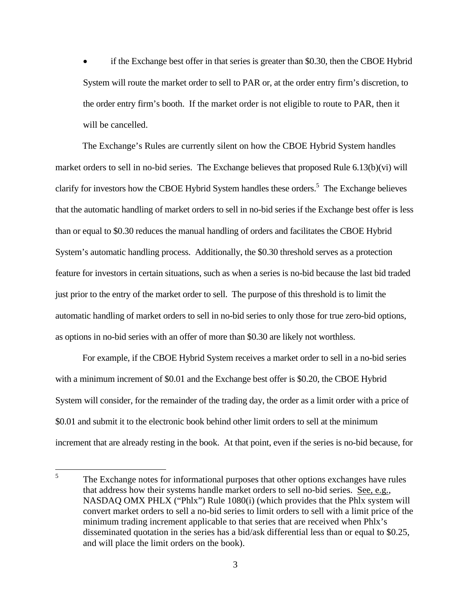the order entry firm's booth. If the market order is not eligible to route to PAR, then it if the Exchange best offer in that series is greater than \$0.30, then the CBOE Hybrid System will route the market order to sell to PAR or, at the order entry firm's discretion, to will be cancelled.

 market orders to sell in no-bid series. The Exchange believes that proposed Rule 6.13(b)(vi) will The Exchange's Rules are currently silent on how the CBOE Hybrid System handles clarify for investors how the CBOE Hybrid System handles these orders.<sup>5</sup> The Exchange believes that the automatic handling of market orders to sell in no-bid series if the Exchange best offer is less than or equal to \$0.30 reduces the manual handling of orders and facilitates the CBOE Hybrid System's automatic handling process. Additionally, the \$0.30 threshold serves as a protection feature for investors in certain situations, such as when a series is no-bid because the last bid traded just prior to the entry of the market order to sell. The purpose of this threshold is to limit the automatic handling of market orders to sell in no-bid series to only those for true zero-bid options, as options in no-bid series with an offer of more than \$0.30 are likely not worthless.

For example, if the CBOE Hybrid System receives a market order to sell in a no-bid series with a minimum increment of \$0.01 and the Exchange best offer is \$0.20, the CBOE Hybrid System will consider, for the remainder of the trading day, the order as a limit order with a price of \$0.01 and submit it to the electronic book behind other limit orders to sell at the minimum increment that are already resting in the book. At that point, even if the series is no-bid because, for

 5 The Exchange notes for informational purposes that other options exchanges have rules that address how their systems handle market orders to sell no-bid series. See, e.g., NASDAQ OMX PHLX ("Phlx") Rule 1080(i) (which provides that the Phlx system will convert market orders to sell a no-bid series to limit orders to sell with a limit price of the minimum trading increment applicable to that series that are received when Phlx's disseminated quotation in the series has a bid/ask differential less than or equal to \$0.25, and will place the limit orders on the book).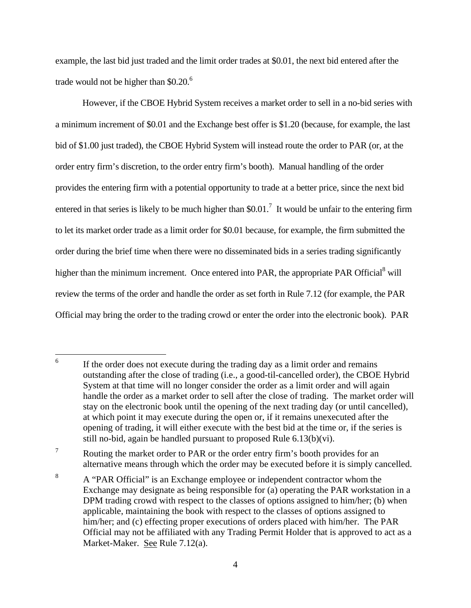trade would not be higher than  $$0.20$ .<sup>6</sup> example, the last bid just traded and the limit order trades at \$0.01, the next bid entered after the

However, if the CBOE Hybrid System receives a market order to sell in a no-bid series with a minimum increment of \$0.01 and the Exchange best offer is \$1.20 (because, for example, the last bid of \$1.00 just traded), the CBOE Hybrid System will instead route the order to PAR (or, at the order entry firm's discretion, to the order entry firm's booth). Manual handling of the order provides the entering firm with a potential opportunity to trade at a better price, since the next bid entered in that series is likely to be much higher than \$0.01.<sup>7</sup> It would be unfair to the entering firm to let its market order trade as a limit order for \$0.01 because, for example, the firm submitted the order during the brief time when there were no disseminated bids in a series trading significantly higher than the minimum increment. Once entered into PAR, the appropriate PAR Official<sup>8</sup> will review the terms of the order and handle the order as set forth in Rule 7.12 (for example, the PAR Official may bring the order to the trading crowd or enter the order into the electronic book). PAR

1

 $7\phantom{.}$ Routing the market order to PAR or the order entry firm's booth provides for an alternative means through which the order may be executed before it is simply cancelled.

If the order does not execute during the trading day as a limit order and remains outstanding after the close of trading (i.e., a good-til-cancelled order), the CBOE Hybrid System at that time will no longer consider the order as a limit order and will again handle the order as a market order to sell after the close of trading. The market order will stay on the electronic book until the opening of the next trading day (or until cancelled), at which point it may execute during the open or, if it remains unexecuted after the opening of trading, it will either execute with the best bid at the time or, if the series is still no-bid, again be handled pursuant to proposed Rule 6.13(b)(vi).

 $\,8\,$ <sup>8</sup> A "PAR Official" is an Exchange employee or independent contractor whom the Exchange may designate as being responsible for (a) operating the PAR workstation in a DPM trading crowd with respect to the classes of options assigned to him/her; (b) when applicable, maintaining the book with respect to the classes of options assigned to him/her; and (c) effecting proper executions of orders placed with him/her. The PAR Official may not be affiliated with any Trading Permit Holder that is approved to act as a Market-Maker. See Rule 7.12(a).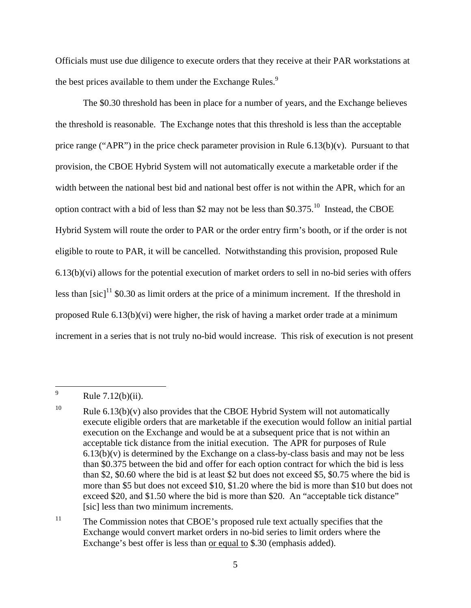Officials must use due diligence to execute orders that they receive at their PAR workstations at the best prices available to them under the Exchange Rules.<sup>9</sup>

The \$0.30 threshold has been in place for a number of years, and the Exchange believes the threshold is reasonable. The Exchange notes that this threshold is less than the acceptable price range ("APR") in the price check parameter provision in Rule  $6.13(b)(v)$ . Pursuant to that provision, the CBOE Hybrid System will not automatically execute a marketable order if the width between the national best bid and national best offer is not within the APR, which for an option contract with a bid of less than \$2 may not be less than  $$0.375$ .<sup>10</sup> Instead, the CBOE Hybrid System will route the order to PAR or the order entry firm's booth, or if the order is not eligible to route to PAR, it will be cancelled. Notwithstanding this provision, proposed Rule 6.13(b)(vi) allows for the potential execution of market orders to sell in no-bid series with offers less than  $[sic]$ <sup>11</sup> \$0.30 as limit orders at the price of a minimum increment. If the threshold in proposed Rule 6.13(b)(vi) were higher, the risk of having a market order trade at a minimum increment in a series that is not truly no-bid would increase. This risk of execution is not present

Rule  $7.12(b)(ii)$ .

<sup>10</sup> Rule  $6.13(b)(v)$  also provides that the CBOE Hybrid System will not automatically execute eligible orders that are marketable if the execution would follow an initial partial execution on the Exchange and would be at a subsequent price that is not within an acceptable tick distance from the initial execution. The APR for purposes of Rule  $6.13(b)(v)$  is determined by the Exchange on a class-by-class basis and may not be less than \$0.375 between the bid and offer for each option contract for which the bid is less than \$2, \$0.60 where the bid is at least \$2 but does not exceed \$5, \$0.75 where the bid is more than \$5 but does not exceed \$10, \$1.20 where the bid is more than \$10 but does not exceed \$20, and \$1.50 where the bid is more than \$20. An "acceptable tick distance" [sic] less than two minimum increments.

 $11$ The Commission notes that CBOE's proposed rule text actually specifies that the Exchange would convert market orders in no-bid series to limit orders where the Exchange's best offer is less than or equal to \$.30 (emphasis added).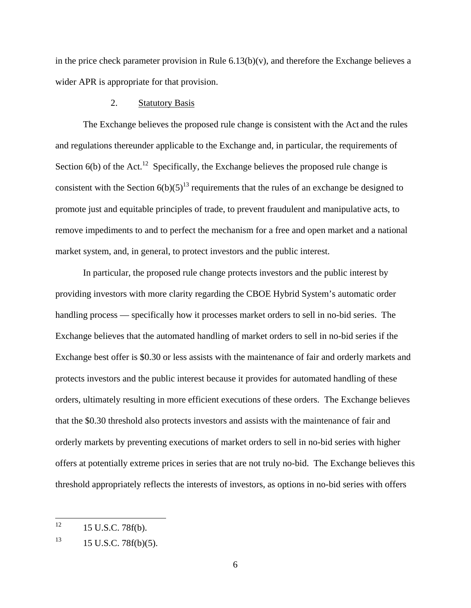in the price check parameter provision in Rule  $6.13(b)(v)$ , and therefore the Exchange believes a wider APR is appropriate for that provision.

### 2. Statutory Basis

The Exchange believes the proposed rule change is consistent with the Act and the rules and regulations thereunder applicable to the Exchange and, in particular, the requirements of Section  $6(b)$  of the Act.<sup>12</sup> Specifically, the Exchange believes the proposed rule change is consistent with the Section  $6(b)(5)^{13}$  requirements that the rules of an exchange be designed to promote just and equitable principles of trade, to prevent fraudulent and manipulative acts, to remove impediments to and to perfect the mechanism for a free and open market and a national market system, and, in general, to protect investors and the public interest.

In particular, the proposed rule change protects investors and the public interest by providing investors with more clarity regarding the CBOE Hybrid System's automatic order handling process — specifically how it processes market orders to sell in no-bid series. The Exchange believes that the automated handling of market orders to sell in no-bid series if the Exchange best offer is \$0.30 or less assists with the maintenance of fair and orderly markets and protects investors and the public interest because it provides for automated handling of these orders, ultimately resulting in more efficient executions of these orders. The Exchange believes that the \$0.30 threshold also protects investors and assists with the maintenance of fair and orderly markets by preventing executions of market orders to sell in no-bid series with higher offers at potentially extreme prices in series that are not truly no-bid. The Exchange believes this threshold appropriately reflects the interests of investors, as options in no-bid series with offers

<sup>12 15</sup> U.S.C. 78f(b).

<sup>13</sup> 13 15 U.S.C. 78f(b)(5).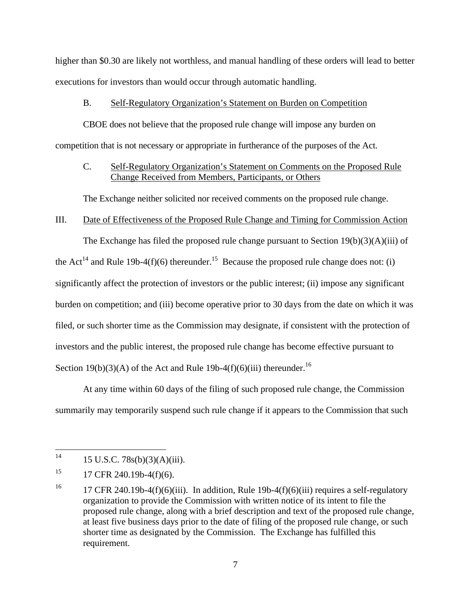higher than \$0.30 are likely not worthless, and manual handling of these orders will lead to better executions for investors than would occur through automatic handling.

## B. Self-Regulatory Organization's Statement on Burden on Competition

CBOE does not believe that the proposed rule change will impose any burden on competition that is not necessary or appropriate in furtherance of the purposes of the Act.

# C. Self-Regulatory Organization's Statement on Comments on the Proposed Rule Change Received from Members, Participants, or Others

The Exchange neither solicited nor received comments on the proposed rule change.

#### III. Date of Effectiveness of the Proposed Rule Change and Timing for Commission Action

The Exchange has filed the proposed rule change pursuant to Section  $19(b)(3)(A)(iii)$  of the Act<sup>14</sup> and Rule 19b-4(f)(6) thereunder.<sup>15</sup> Because the proposed rule change does not: (i) significantly affect the protection of investors or the public interest; (ii) impose any significant burden on competition; and (iii) become operative prior to 30 days from the date on which it was filed, or such shorter time as the Commission may designate, if consistent with the protection of investors and the public interest, the proposed rule change has become effective pursuant to Section 19(b)(3)(A) of the Act and Rule 19b-4(f)(6)(iii) thereunder.<sup>16</sup>

At any time within 60 days of the filing of such proposed rule change, the Commission summarily may temporarily suspend such rule change if it appears to the Commission that such

1

<sup>15</sup> U.S.C.  $78s(b)(3)(A)(iii)$ .

<sup>15</sup> 17 CFR 240.19b-4 $(f)(6)$ .

<sup>16</sup> 17 CFR 240.19b-4(f)(6)(iii). In addition, Rule 19b-4(f)(6)(iii) requires a self-regulatory organization to provide the Commission with written notice of its intent to file the proposed rule change, along with a brief description and text of the proposed rule change, at least five business days prior to the date of filing of the proposed rule change, or such shorter time as designated by the Commission. The Exchange has fulfilled this requirement.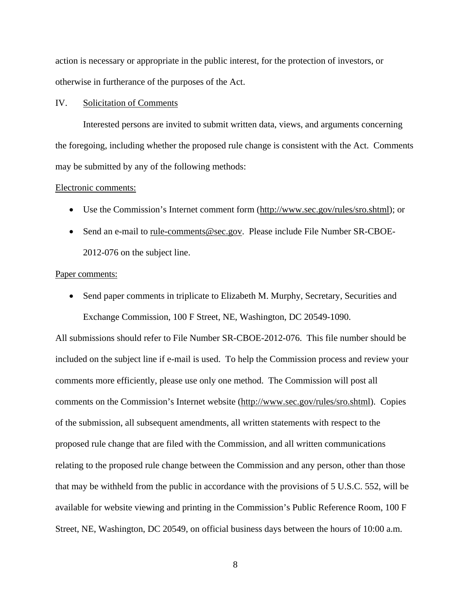action is necessary or appropriate in the public interest, for the protection of investors, or otherwise in furtherance of the purposes of the Act.

#### IV. Solicitation of Comments

Interested persons are invited to submit written data, views, and arguments concerning the foregoing, including whether the proposed rule change is consistent with the Act. Comments may be submitted by any of the following methods:

#### Electronic comments:

- Use the Commission's Internet comment form (http://www.sec.gov/rules/sro.shtml); or
- Send an e-mail to rule-comments@sec.gov. Please include File Number SR-CBOE-2012-076 on the subject line.

#### Paper comments:

• Send paper comments in triplicate to Elizabeth M. Murphy, Secretary, Securities and Exchange Commission, 100 F Street, NE, Washington, DC 20549-1090.

All submissions should refer to File Number SR-CBOE-2012-076. This file number should be included on the subject line if e-mail is used. To help the Commission process and review your comments more efficiently, please use only one method. The Commission will post all comments on the Commission's Internet website (http://www.sec.gov/rules/sro.shtml). Copies of the submission, all subsequent amendments, all written statements with respect to the proposed rule change that are filed with the Commission, and all written communications relating to the proposed rule change between the Commission and any person, other than those that may be withheld from the public in accordance with the provisions of 5 U.S.C. 552, will be available for website viewing and printing in the Commission's Public Reference Room, 100 F Street, NE, Washington, DC 20549, on official business days between the hours of 10:00 a.m.

8